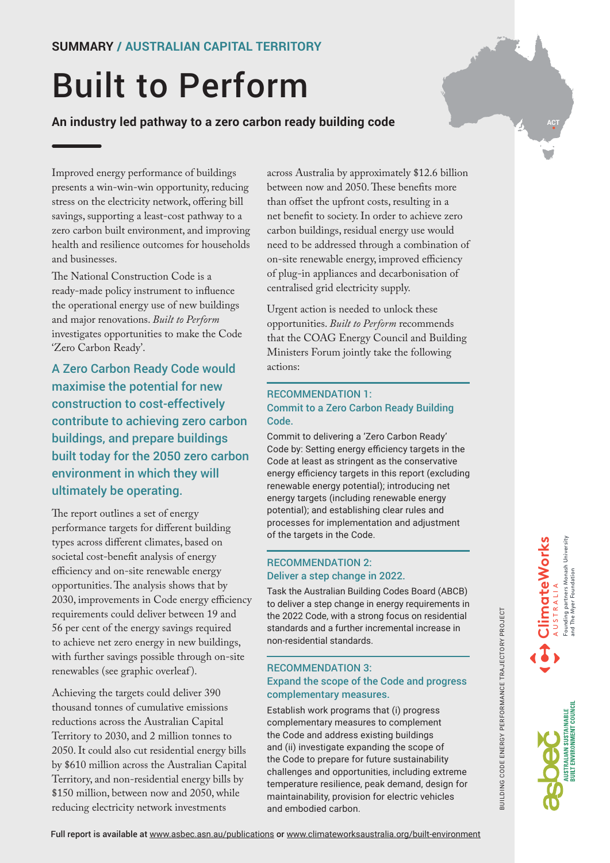# Built to Perform

**An industry led pathway to a zero carbon ready building code**

Improved energy performance of buildings presents a win-win-win opportunity, reducing stress on the electricity network, offering bill savings, supporting a least-cost pathway to a zero carbon built environment, and improving health and resilience outcomes for households and businesses.

The National Construction Code is a ready-made policy instrument to influence the operational energy use of new buildings and major renovations. *Built to Perform* investigates opportunities to make the Code 'Zero Carbon Ready'.

A Zero Carbon Ready Code would maximise the potential for new construction to cost-effectively contribute to achieving zero carbon buildings, and prepare buildings built today for the 2050 zero carbon environment in which they will ultimately be operating.

The report outlines a set of energy performance targets for different building types across different climates, based on societal cost-benefit analysis of energy efficiency and on-site renewable energy opportunities. The analysis shows that by 2030, improvements in Code energy efficiency requirements could deliver between 19 and 56 per cent of the energy savings required to achieve net zero energy in new buildings, with further savings possible through on-site renewables (see graphic overleaf ).

Achieving the targets could deliver 390 thousand tonnes of cumulative emissions reductions across the Australian Capital Territory to 2030, and 2 million tonnes to 2050. It could also cut residential energy bills by \$610 million across the Australian Capital Territory, and non-residential energy bills by \$150 million, between now and 2050, while reducing electricity network investments

across Australia by approximately \$12.6 billion between now and 2050. These benefits more than offset the upfront costs, resulting in a net benefit to society. In order to achieve zero carbon buildings, residual energy use would need to be addressed through a combination of on-site renewable energy, improved efficiency of plug-in appliances and decarbonisation of centralised grid electricity supply.

Urgent action is needed to unlock these opportunities. *Built to Perform* recommends that the COAG Energy Council and Building Ministers Forum jointly take the following actions:

#### RECOMMENDATION 1: Commit to a Zero Carbon Ready Building Code.

Commit to delivering a 'Zero Carbon Ready' Code by: Setting energy efficiency targets in the Code at least as stringent as the conservative energy efficiency targets in this report (excluding renewable energy potential); introducing net energy targets (including renewable energy potential); and establishing clear rules and processes for implementation and adjustment of the targets in the Code.

#### RECOMMENDATION 2: Deliver a step change in 2022.

Task the Australian Building Codes Board (ABCB) to deliver a step change in energy requirements in the 2022 Code, with a strong focus on residential standards and a further incremental increase in non-residential standards.

#### RECOMMENDATION 3: Expand the scope of the Code and progress complementary measures.

Establish work programs that (i) progress complementary measures to complement the Code and address existing buildings and (ii) investigate expanding the scope of the Code to prepare for future sustainability challenges and opportunities, including extreme temperature resilience, peak demand, design for maintainability, provision for electric vehicles and embodied carbon.

**ClimateWorks**

**ACT**



BUILDING CODE ENERGY PERFORMANCE TRAJECTORY PROJECT

UILDING CODE ENERGY PERFORMANCE TRAJECTORY PROJECT

Full report is available at www.asbec.asn.au/publications or [www.climateworksaustralia.org/built-environment](http://www.climateworksaustralia.org/built-environment)